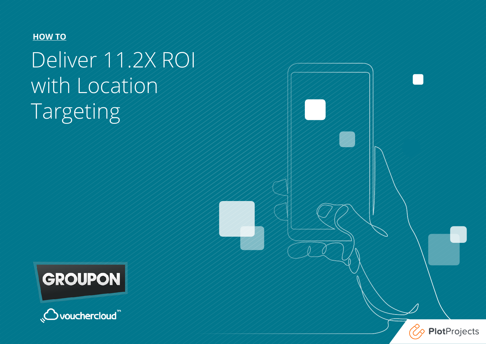#### **HOW TO**

# Deliver 11.2X ROI with Location Targeting





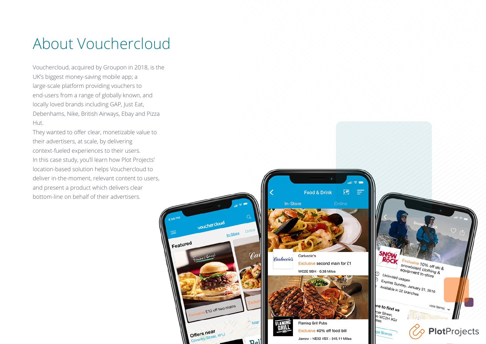#### About Vouchercloud

Vouchercloud, acquired by Groupon in 2018, is the UK's biggest money-saving mobile app; a large-scale platform providing vouchers to end-users from a range of globally known, and locally loved brands including GAP, Just Eat, Debenhams, Nike, British Airways, Ebay and Pizza Hut.

They wanted to offer clear, monetizable value to their advertisers, at scale, by delivering context-fueled experiences to their users. In this case study, you'll learn how Plot Projects' location-based solution helps Vouchercloud to deliver in-the-moment, relevant content to users, and present a product which delivers clear bottom-line on behalf of their advertisers.

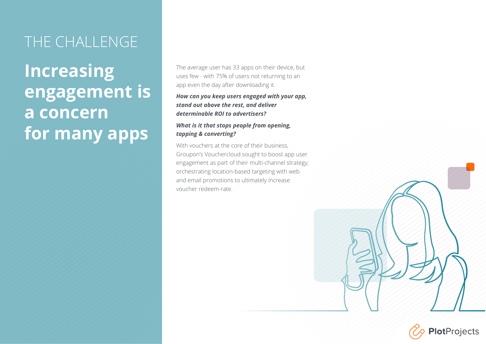#### THE CHALLENGE

## **Increasing engagement is a concern for many apps**

The average user has 33 apps on their device, but uses few - with 75% of users not returning to an app even the day after downloading it.

#### *How can you keep users engaged with your app, stand out above the rest, and deliver determinable ROI to advertisers?*

#### *What is it that stops people from opening, tapping & converting?*

With vouchers at the core of their business Groupon's Vouchercloud sought to boost app user engagement as part of their multi-channel strategy; orchestrating location-based targeting with web and email promotions to ultimately increase voucher redeem-rate.

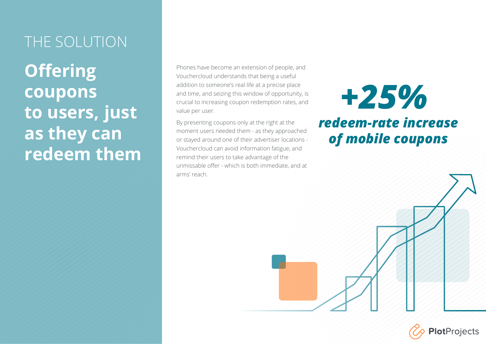#### THE SOLUTION

**Offering coupons to users, just as they can redeem them**

Phones have become an extension of people, and Vouchercloud understands that being a useful addition to someone's real life at a precise place and time, and seizing this window of opportunity, is crucial to increasing coupon redemption rates, and value per user.

By presenting coupons only at the right at the moment users needed them - as they approached or stayed around one of their advertiser locations - Vouchercloud can avoid information fatigue, and remind their users to take advantage of the unmissable offer - which is both immediate, and at arms' reach.

*+25% redeem-rate increase of mobile coupons*

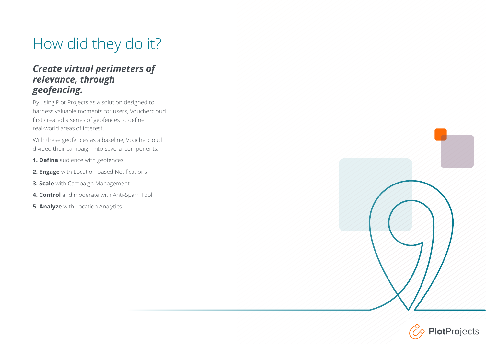### How did they do it?

#### *Create virtual perimeters of relevance, through geofencing.*

By using Plot Projects as a solution designed to harness valuable moments for users, Vouchercloud first created a series of geofences to define real-world areas of interest.

With these geofences as a baseline, Vouchercloud divided their campaign into several components:

- **1. Define** audience with geofences
- **2. Engage** with Location-based Notifications
- **3. Scale** with Campaign Management
- **4. Control** and moderate with Anti-Spam Tool
- **5. Analyze** with Location Analytics



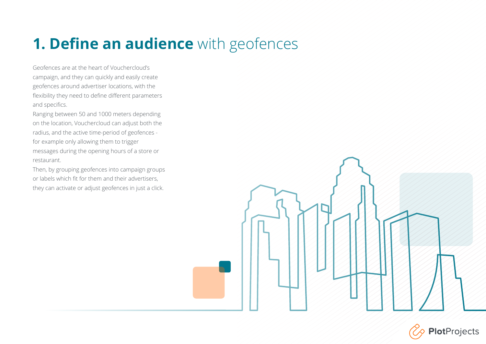### **1. Define an audience** with geofences

Geofences are at the heart of Vouchercloud's campaign, and they can quickly and easily create geofences around advertiser locations, with the flexibility they need to define different parameters and specifics.

Ranging between 50 and 1000 meters depending on the location, Vouchercloud can adjust both the radius, and the active time-period of geofences for example only allowing them to trigger messages during the opening hours of a store or restaurant.

Then, by grouping geofences into campaign groups or labels which fit for them and their advertisers, they can activate or adjust geofences in just a click.



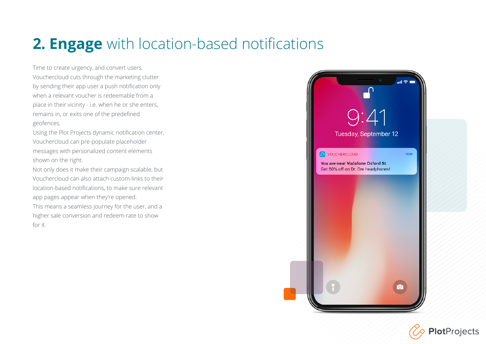### **2. Engage** with location-based notifications

Time to create urgency, and convert users. Vouchercloud cuts through the marketing clutter by sending their app user a push notification only when a relevant voucher is redeemable from a place in their vicinity - i.e. when he or she enters, remains in, or exits one of the predefined geofences.

Using the Plot Projects dynamic notification center, Vouchercloud can pre-populate placeholder messages with personalized content elements shown on the right.

Not only does it make their campaign scalable, but Vouchercloud can also attach custom-links to their location-based notifications, to make sure relevant app pages appear when they're opened. This means a seamless journey for the user, and a higher sale conversion and redeem-rate to show

for it.

 $9:41$ Tuesday, September 12 O VOUCHERCLOUD now You are near Vodafone Oxford St. Get 50% off on Dr. Dre headphones!

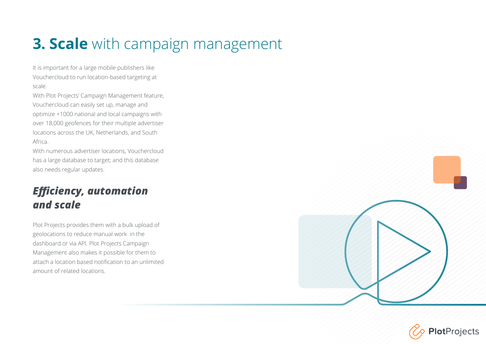### **3. Scale** with campaign management

It is important for a large mobile publishers like Vouchercloud to run location-based targeting at scale.

With Plot Projects' Campaign Management feature, Vouchercloud can easily set up, manage and optimize +1000 national and local campaigns with over 18,000 geofences for their multiple advertiser locations across the UK, Netherlands, and South Africa.

With numerous advertiser locations, Vouchercloud has a large database to target; and this database also needs regular updates.

#### *Efficiency, automation and scale*

Plot Projects provides them with a bulk upload of geolocations to reduce manual work in the dashboard or via API. Plot Projects Campaign Management also makes it possible for them to attach a location based notification to an unlimited amount of related locations.



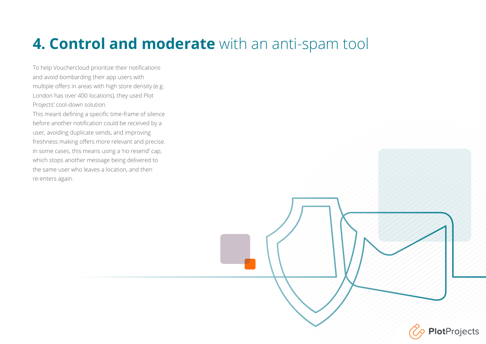### **4. Control and moderate** with an anti-spam tool

To help Vouchercloud prioritize their notifications and avoid bombarding their app users with multiple offers in areas with high store density (e.g. London has over 400 locations), they used Plot Projects' cool-down solution. This meant defining a specific time-frame of silence before another notification could be received by a user, avoiding duplicate sends, and improving freshness making offers more relevant and precise. In some cases, this means using a 'no resend' cap, which stops another message being delivered to the same user who leaves a location, and then re-enters again.

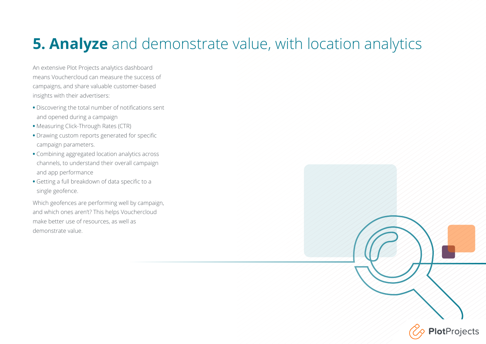### **5. Analyze** and demonstrate value, with location analytics

**PlotProjects** 

An extensive Plot Projects analytics dashboard means Vouchercloud can measure the success of campaigns, and share valuable customer-based insights with their advertisers:

- **•** Discovering the total number of notifications sent and opened during a campaign
- **•** Measuring Click-Through Rates (CTR)
- **•** Drawing custom reports generated for specific campaign parameters.
- **•** Combining aggregated location analytics across channels, to understand their overall campaign and app performance
- **•** Getting a full breakdown of data specific to a single geofence.

Which geofences are performing well by campaign, and which ones aren't? This helps Vouchercloud make better use of resources, as well as demonstrate value.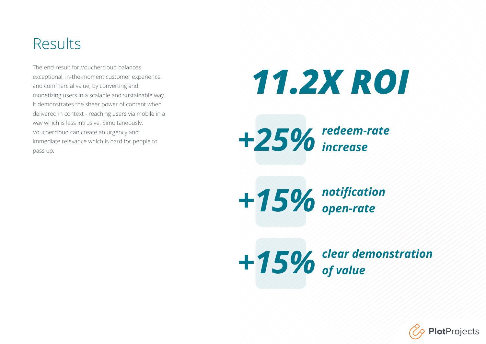#### Results

The end-result for Vouchercloud balances exceptional, in-the-moment customer experience, and commercial value, by converting and monetizing users in a scalable and sustainable way. It demonstrates the sheer power of content when delivered in context - reaching users via mobile in a way which is less intrusive. Simultaneously, Vouchercloud can create an urgency and immediate relevance which is hard for people to pass up.

# *11.2X ROI*



*notification open-rate +15%* 

*clear demonstration +15% of value*

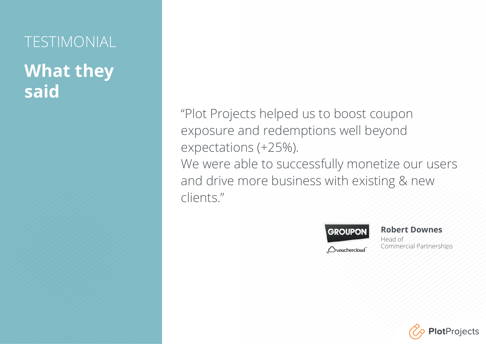# TESTIMONIAL **What they said**

"Plot Projects helped us to boost coupon exposure and redemptions well beyond expectations (+25%). We were able to successfully monetize our users and drive more business with existing & new clients."



**Robert Downes** Head of Commercial Partnerships

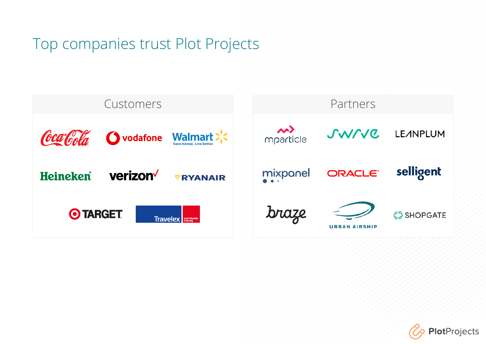#### Top companies trust Plot Projects